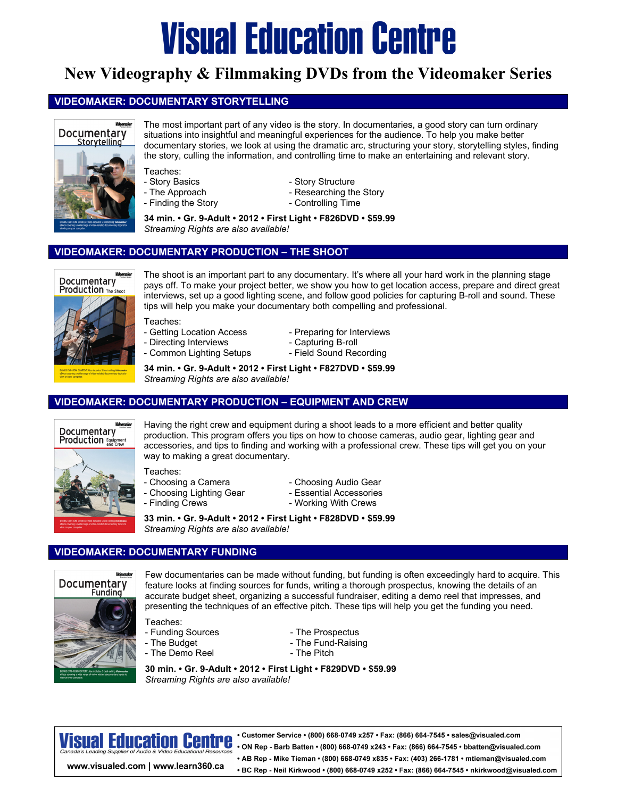# **Visual Education Centre**

## **New Videography & Filmmaking DVDs from the Videomaker Series**

### **VIDEOMAKER: DOCUMENTARY STORYTELLING**



The most important part of any video is the story. In documentaries, a good story can turn ordinary situations into insightful and meaningful experiences for the audience. To help you make better documentary stories, we look at using the dramatic arc, structuring your story, storytelling styles, finding the story, culling the information, and controlling time to make an entertaining and relevant story.

- 
- Teaches:<br>- Story Basics
- -
- Story Structure
- The Approach  **Researching the Story**
- Finding the Story **Finding Time**

**34 min. • Gr. 9-Adult • 2012 • First Light • F826DVD • \$59.99**  *Streaming Rights are also available!* 

### **VIDEOMAKER: DOCUMENTARY PRODUCTION – THE SHOOT**



The shoot is an important part to any documentary. It's where all your hard work in the planning stage pays off. To make your project better, we show you how to get location access, prepare and direct great interviews, set up a good lighting scene, and follow good policies for capturing B-roll and sound. These tips will help you make your documentary both compelling and professional.

Teaches:

- Getting Location Access Preparing for Interviews
- Directing Interviews Capturing B-roll
- Common Lighting Setups Field Sound Recording
- -

**34 min. • Gr. 9-Adult • 2012 • First Light • F827DVD • \$59.99**  *Streaming Rights are also available!* 

### **VIDEOMAKER: DOCUMENTARY PRODUCTION – EQUIPMENT AND CREW**



Having the right crew and equipment during a shoot leads to a more efficient and better quality production. This program offers you tips on how to choose cameras, audio gear, lighting gear and accessories, and tips to finding and working with a professional crew. These tips will get you on your way to making a great documentary.

- Teaches:<br>- Choosing a Camera
- Choosing Lighting Gear Essential Accessories
- Finding Crews  **Working With Crews**
- Choosing Audio Gear
- -

**33 min. • Gr. 9-Adult • 2012 • First Light • F828DVD • \$59.99**  *Streaming Rights are also available!* 

### **VIDEOMAKER: DOCUMENTARY FUNDING**



Few documentaries can be made without funding, but funding is often exceedingly hard to acquire. This feature looks at finding sources for funds, writing a thorough prospectus, knowing the details of an accurate budget sheet, organizing a successful fundraiser, editing a demo reel that impresses, and presenting the techniques of an effective pitch. These tips will help you get the funding you need.

Teaches:

- 
- 
- The Demo Reel  **The Pitch**
- Funding Sources<br>- The Budget The Fund-Raisir - The Fund-Raising
	-

**30 min. • Gr. 9-Adult • 2012 • First Light • F829DVD • \$59.99**  *Streaming Rights are also available!* 

Visual Educatio

www.visualed.com | www.learn360.ca

• Customer Service • (800) 668-0749 x257 • Fax: (866) 664-7545 • sales@visualed.com . ON Rep - Barb Batten • (800) 668-0749 x243 • Fax: (866) 664-7545 • bbatten@visualed.com • AB Rep - Mike Tieman • (800) 668-0749 x835 • Fax: (403) 266-1781 • mtieman@visualed.com • BC Rep - Neil Kirkwood • (800) 668-0749 x252 • Fax: (866) 664-7545 • nkirkwood@visualed.com